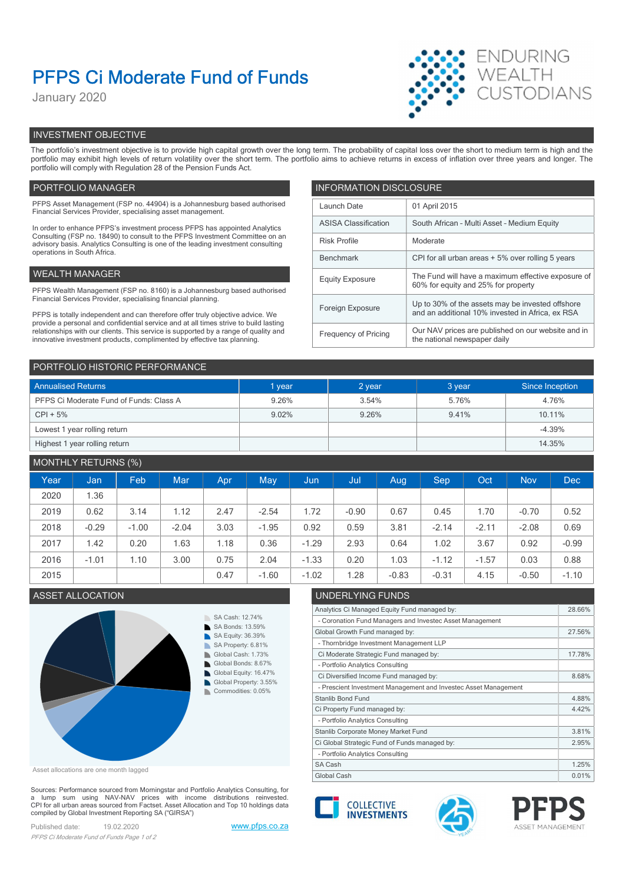# PFPS Ci Moderate Fund of Funds

January 2020



# INVESTMENT OBJECTIVE

The portfolio's investment objective is to provide high capital growth over the long term. The probability of capital loss over the short to medium term is high and the portfolio may exhibit high levels of return volatility over the short term. The portfolio aims to achieve returns in excess of inflation over three years and longer. The portfolio will comply with Regulation 28 of the Pension Funds Act.

# PORTFOLIO MANAGER **INFORMATION DISCLOSURE**

| PFPS Asset Management (FSP no. 44904) is a Johannesburg based authorised<br>01 April 2015<br>Launch Date<br>Financial Services Provider, specialising asset management.<br><b>ASISA Classification</b><br>South African - Multi Asset - Medium Equity<br>In order to enhance PFPS's investment process PFPS has appointed Analytics<br>Consulting (FSP no. 18490) to consult to the PFPS Investment Committee on an<br><b>Risk Profile</b><br>Moderate<br>advisory basis. Analytics Consulting is one of the leading investment consulting<br>operations in South Africa.<br>CPI for all urban areas + 5% over rolling 5 years<br>Benchmark<br>WEALTH MANAGER<br><b>Equity Exposure</b><br>60% for equity and 25% for property<br>PFPS Wealth Management (FSP no. 8160) is a Johannesburg based authorised<br>Financial Services Provider, specialising financial planning.<br>Up to 30% of the assets may be invested offshore<br>Foreign Exposure<br>and an additional 10% invested in Africa, ex RSA<br>PFPS is totally independent and can therefore offer truly objective advice. We<br>provide a personal and confidential service and at all times strive to build lasting<br>Our NAV prices are published on our website and in<br>relationships with our clients. This service is supported by a range of quality and<br>Frequency of Pricing<br>the national newspaper daily<br>innovative investment products, complimented by effective tax planning. |  |                                                    |  |
|-------------------------------------------------------------------------------------------------------------------------------------------------------------------------------------------------------------------------------------------------------------------------------------------------------------------------------------------------------------------------------------------------------------------------------------------------------------------------------------------------------------------------------------------------------------------------------------------------------------------------------------------------------------------------------------------------------------------------------------------------------------------------------------------------------------------------------------------------------------------------------------------------------------------------------------------------------------------------------------------------------------------------------------------------------------------------------------------------------------------------------------------------------------------------------------------------------------------------------------------------------------------------------------------------------------------------------------------------------------------------------------------------------------------------------------------------------------------|--|----------------------------------------------------|--|
|                                                                                                                                                                                                                                                                                                                                                                                                                                                                                                                                                                                                                                                                                                                                                                                                                                                                                                                                                                                                                                                                                                                                                                                                                                                                                                                                                                                                                                                                   |  |                                                    |  |
|                                                                                                                                                                                                                                                                                                                                                                                                                                                                                                                                                                                                                                                                                                                                                                                                                                                                                                                                                                                                                                                                                                                                                                                                                                                                                                                                                                                                                                                                   |  |                                                    |  |
|                                                                                                                                                                                                                                                                                                                                                                                                                                                                                                                                                                                                                                                                                                                                                                                                                                                                                                                                                                                                                                                                                                                                                                                                                                                                                                                                                                                                                                                                   |  |                                                    |  |
|                                                                                                                                                                                                                                                                                                                                                                                                                                                                                                                                                                                                                                                                                                                                                                                                                                                                                                                                                                                                                                                                                                                                                                                                                                                                                                                                                                                                                                                                   |  |                                                    |  |
|                                                                                                                                                                                                                                                                                                                                                                                                                                                                                                                                                                                                                                                                                                                                                                                                                                                                                                                                                                                                                                                                                                                                                                                                                                                                                                                                                                                                                                                                   |  | The Fund will have a maximum effective exposure of |  |
|                                                                                                                                                                                                                                                                                                                                                                                                                                                                                                                                                                                                                                                                                                                                                                                                                                                                                                                                                                                                                                                                                                                                                                                                                                                                                                                                                                                                                                                                   |  |                                                    |  |
|                                                                                                                                                                                                                                                                                                                                                                                                                                                                                                                                                                                                                                                                                                                                                                                                                                                                                                                                                                                                                                                                                                                                                                                                                                                                                                                                                                                                                                                                   |  |                                                    |  |
|                                                                                                                                                                                                                                                                                                                                                                                                                                                                                                                                                                                                                                                                                                                                                                                                                                                                                                                                                                                                                                                                                                                                                                                                                                                                                                                                                                                                                                                                   |  |                                                    |  |
|                                                                                                                                                                                                                                                                                                                                                                                                                                                                                                                                                                                                                                                                                                                                                                                                                                                                                                                                                                                                                                                                                                                                                                                                                                                                                                                                                                                                                                                                   |  |                                                    |  |

| PORTFOLIO HISTORIC PERFORMANCE          |        |        |        |                 |  |  |
|-----------------------------------------|--------|--------|--------|-----------------|--|--|
| <b>Annualised Returns</b>               | 1 year | 2 year | 3 year | Since Inception |  |  |
| PFPS Ci Moderate Fund of Funds: Class A | 9.26%  | 3.54%  | 5.76%  | 4.76%           |  |  |
| $CPI + 5%$                              | 9.02%  | 9.26%  | 9.41%  | 10.11%          |  |  |
| Lowest 1 year rolling return            |        |        |        | $-4.39%$        |  |  |
| Highest 1 year rolling return           |        |        |        | 14.35%          |  |  |

# MONTHLY RETURNS (%)

|      |         | $\sim$ $\sim$ |         |      |            |         |         |         |         |         |            |            |
|------|---------|---------------|---------|------|------------|---------|---------|---------|---------|---------|------------|------------|
| Year | Jan     | Feb           | Mar     | Apr  | <b>May</b> | Jun,    | Jul     | Aug     | Sep     | Oct     | <b>Nov</b> | <b>Dec</b> |
| 2020 | 1.36    |               |         |      |            |         |         |         |         |         |            |            |
| 2019 | 0.62    | 3.14          | 1.12    | 2.47 | $-2.54$    | 1.72    | $-0.90$ | 0.67    | 0.45    | .70     | $-0.70$    | 0.52       |
| 2018 | $-0.29$ | $-1.00$       | $-2.04$ | 3.03 | $-1.95$    | 0.92    | 0.59    | 3.81    | $-2.14$ | $-2.11$ | $-2.08$    | 0.69       |
| 2017 | 1.42    | 0.20          | 1.63    | 1.18 | 0.36       | $-1.29$ | 2.93    | 0.64    | 1.02    | 3.67    | 0.92       | $-0.99$    |
| 2016 | $-1.01$ | 1.10          | 3.00    | 0.75 | 2.04       | $-1.33$ | 0.20    | 1.03    | $-1.12$ | $-1.57$ | 0.03       | 0.88       |
| 2015 |         |               |         | 0.47 | $-1.60$    | $-1.02$ | .28     | $-0.83$ | $-0.31$ | 4.15    | $-0.50$    | $-1.10$    |
|      |         |               |         |      |            |         |         |         |         |         |            |            |



Asset allocations are one month lagged

Sources: Performance sourced from Morningstar and Portfolio Analytics Consulting, for a lump sum using NAV-NAV prices with income distributions reinvested.<br>CPI for all urban areas sourced from Factset. Asset Allocation and Top 10 holdings data compiled by Global Investment Reporting SA ("GIRSA")

Published date: 19.02.2020 www.pfps.co.za PFPS Ci Moderate Fund of Funds Page 1 of 2

# ASSET ALLOCATION UNDERLYING FUNDS

| Analytics Ci Managed Equity Fund managed by:                    | 28.66% |
|-----------------------------------------------------------------|--------|
| - Coronation Fund Managers and Investec Asset Management        |        |
| Global Growth Fund managed by:                                  | 27.56% |
| - Thornbridge Investment Management LLP                         |        |
| Ci Moderate Strategic Fund managed by:                          | 17.78% |
| - Portfolio Analytics Consulting                                |        |
| Ci Diversified Income Fund managed by:                          | 8.68%  |
| - Prescient Investment Management and Investec Asset Management |        |
| <b>Stanlib Bond Fund</b>                                        | 4.88%  |
| Ci Property Fund managed by:                                    | 4.42%  |
| - Portfolio Analytics Consulting                                |        |
| Stanlib Corporate Money Market Fund                             | 3.81%  |
| Ci Global Strategic Fund of Funds managed by:                   | 2.95%  |
| - Portfolio Analytics Consulting                                |        |
| SA Cash                                                         | 1.25%  |
| Global Cash                                                     | 0.01%  |